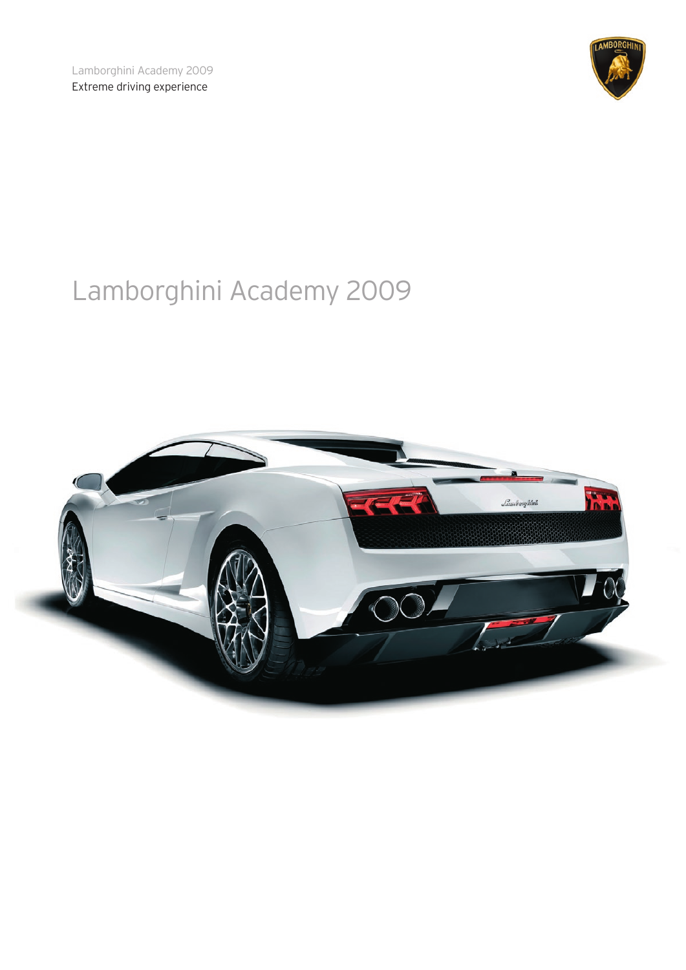Lamborghini Academy 2009 Extreme driving experience



# Lamborghini Academy 2009

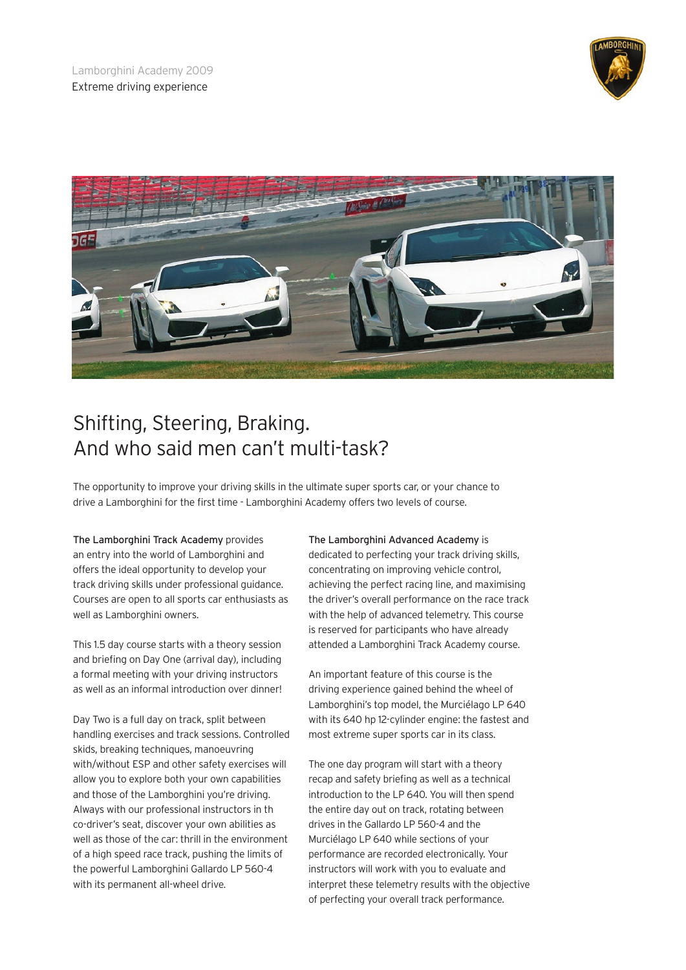



### Shifting, Steering, Braking. And who said men can't multi-task?

The opportunity to improve your driving skills in the ultimate super sports car, or your chance to drive a Lamborghini for the first time - Lamborghini Academy offers two levels of course.

The Lamborghini Track Academy provides an entry into the world of Lamborghini and offers the ideal opportunity to develop your track driving skills under professional guidance. Courses are open to all sports car enthusiasts as well as Lamborghini owners.

This 1.5 day course starts with a theory session and briefing on Day One (arrival day), including a formal meeting with your driving instructors as well as an informal introduction over dinner!

Day Two is a full day on track, split between handling exercises and track sessions. Controlled skids, breaking techniques, manoeuvring with/without ESP and other safety exercises will allow you to explore both your own capabilities and those of the Lamborghini you're driving. Always with our professional instructors in th co-driver's seat, discover your own abilities as well as those of the car: thrill in the environment of a high speed race track, pushing the limits of the powerful Lamborghini Gallardo LP 560-4 with its permanent all-wheel drive.

#### The Lamborghini Advanced Academy is

dedicated to perfecting your track driving skills, concentrating on improving vehicle control, achieving the perfect racing line, and maximising the driver's overall performance on the race track with the help of advanced telemetry. This course is reserved for participants who have already attended a Lamborghini Track Academy course.

An important feature of this course is the driving experience gained behind the wheel of Lamborghini's top model, the Murciélago LP 640 with its 640 hp 12-cylinder engine: the fastest and most extreme super sports car in its class.

The one day program will start with a theory recap and safety briefing as well as a technical introduction to the LP 640. You will then spend the entire day out on track, rotating between drives in the Gallardo LP 560-4 and the Murciélago LP 640 while sections of your performance are recorded electronically. Your instructors will work with you to evaluate and interpret these telemetry results with the objective of perfecting your overall track performance.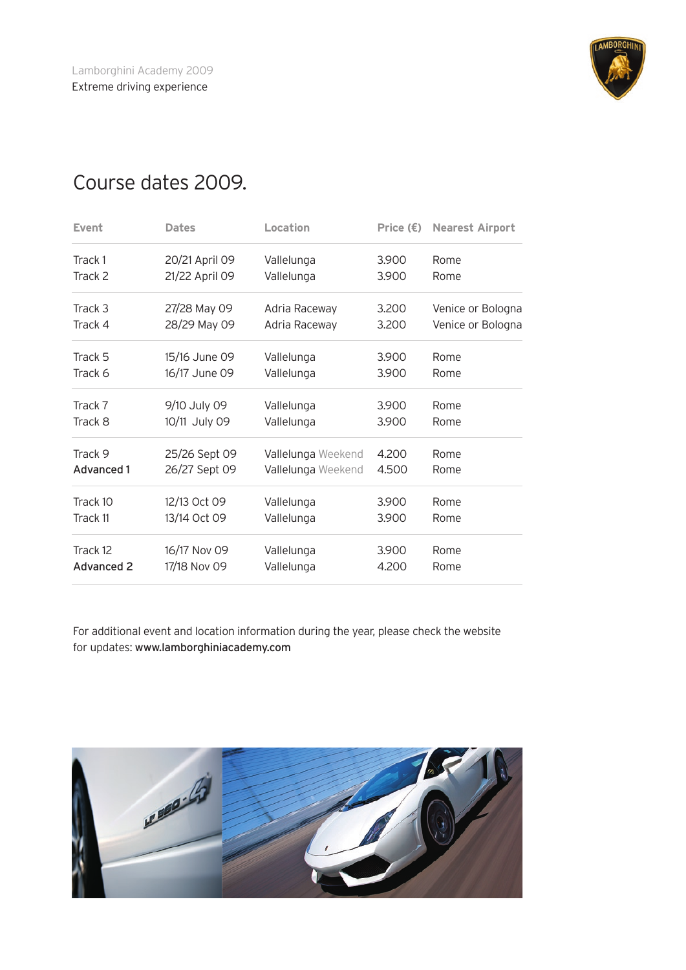

### Course dates 2009.

| <b>Event</b>      | <b>Dates</b>   | Location           | Price $(\epsilon)$ | <b>Nearest Airport</b> |
|-------------------|----------------|--------------------|--------------------|------------------------|
| Track 1           | 20/21 April 09 | Vallelunga         | 3.900              | Rome                   |
| Track 2           | 21/22 April 09 | Vallelunga         | 3.900              | Rome                   |
| Track 3           | 27/28 May 09   | Adria Raceway      | 3.200              | Venice or Bologna      |
| Track 4           | 28/29 May 09   | Adria Raceway      | 3.200              | Venice or Bologna      |
| Track 5           | 15/16 June 09  | Vallelunga         | 3.900              | Rome                   |
| Track 6           | 16/17 June 09  | Vallelunga         | 3.900              | Rome                   |
| Track 7           | 9/10 July 09   | Vallelunga         | 3.900              | Rome                   |
| Track 8           | 10/11 July 09  | Vallelunga         | 3.900              | Rome                   |
| Track 9           | 25/26 Sept 09  | Vallelunga Weekend | 4.200              | Rome                   |
| <b>Advanced 1</b> | 26/27 Sept 09  | Vallelunga Weekend | 4.500              | Rome                   |
| Track 10          | 12/13 Oct 09   | Vallelunga         | 3.900              | Rome                   |
| Track 11          | 13/14 Oct 09   | Vallelunga         | 3.900              | Rome                   |
| Track 12          | 16/17 Nov 09   | Vallelunga         | 3.900              | Rome                   |
| <b>Advanced 2</b> | 17/18 Nov 09   | Vallelunga         | 4.200              | Rome                   |

For additional event and location information during the year, please check the website for updates: www.lamborghiniacademy.com

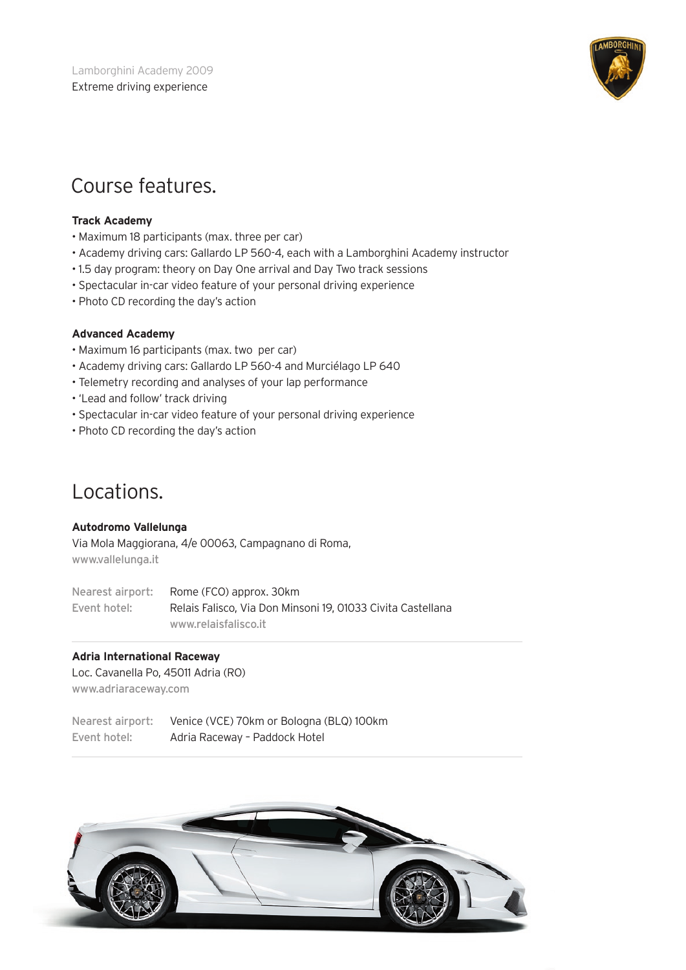

## Course features.

### **Track Academy**

- Maximum 18 participants (max. three per car)
- Academy driving cars: Gallardo LP 560-4, each with a Lamborghini Academy instructor
- 1.5 day program: theory on Day One arrival and Day Two track sessions
- Spectacular in-car video feature of your personal driving experience
- Photo CD recording the day's action

### **Advanced Academy**

- Maximum 16 participants (max. two per car)
- Academy driving cars: Gallardo LP 560-4 and Murciélago LP 640
- Telemetry recording and analyses of your lap performance
- 'Lead and follow' track driving
- Spectacular in-car video feature of your personal driving experience
- Photo CD recording the day's action

### Locations.

#### **Autodromo Vallelunga**

Via Mola Maggiorana, 4/e 00063, Campagnano di Roma, www.vallelunga.it

Nearest airport: Rome (FCO) approx. 30km Event hotel: Relais Falisco, Via Don Minsoni 19, 01033 Civita Castellana www.relaisfalisco.it

#### **Adria International Raceway**

Loc. Cavanella Po, 45011 Adria (RO) www.adriaraceway.com

Nearest airport: Venice (VCE) 70km or Bologna (BLQ) 100km Event hotel: Adria Raceway – Paddock Hotel

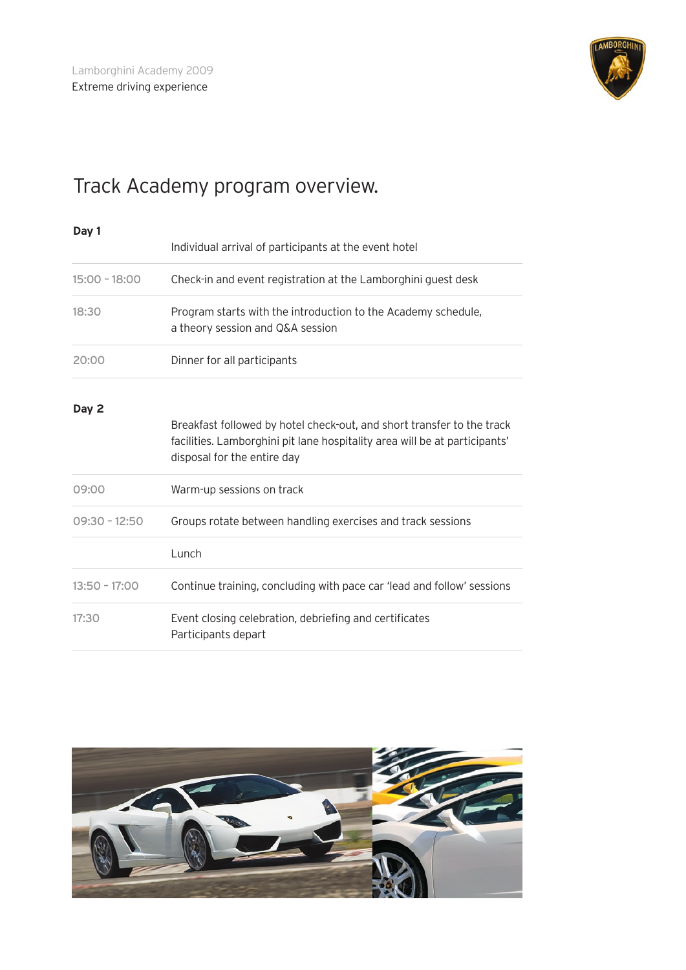

# Track Academy program overview.

| Day 1           | Individual arrival of participants at the event hotel                                                                                                                               |  |  |
|-----------------|-------------------------------------------------------------------------------------------------------------------------------------------------------------------------------------|--|--|
| $15:00 - 18:00$ | Check-in and event registration at the Lamborghini guest desk                                                                                                                       |  |  |
| 18:30           | Program starts with the introduction to the Academy schedule,<br>a theory session and Q&A session                                                                                   |  |  |
| 20:00           | Dinner for all participants                                                                                                                                                         |  |  |
| Day 2           | Breakfast followed by hotel check-out, and short transfer to the track<br>facilities. Lamborghini pit lane hospitality area will be at participants'<br>disposal for the entire day |  |  |
| 09:00           | Warm-up sessions on track                                                                                                                                                           |  |  |
| $09:30 - 12:50$ | Groups rotate between handling exercises and track sessions                                                                                                                         |  |  |
|                 | Lunch                                                                                                                                                                               |  |  |
| $13:50 - 17:00$ | Continue training, concluding with pace car 'lead and follow' sessions                                                                                                              |  |  |
| 17:30           | Event closing celebration, debriefing and certificates<br>Participants depart                                                                                                       |  |  |

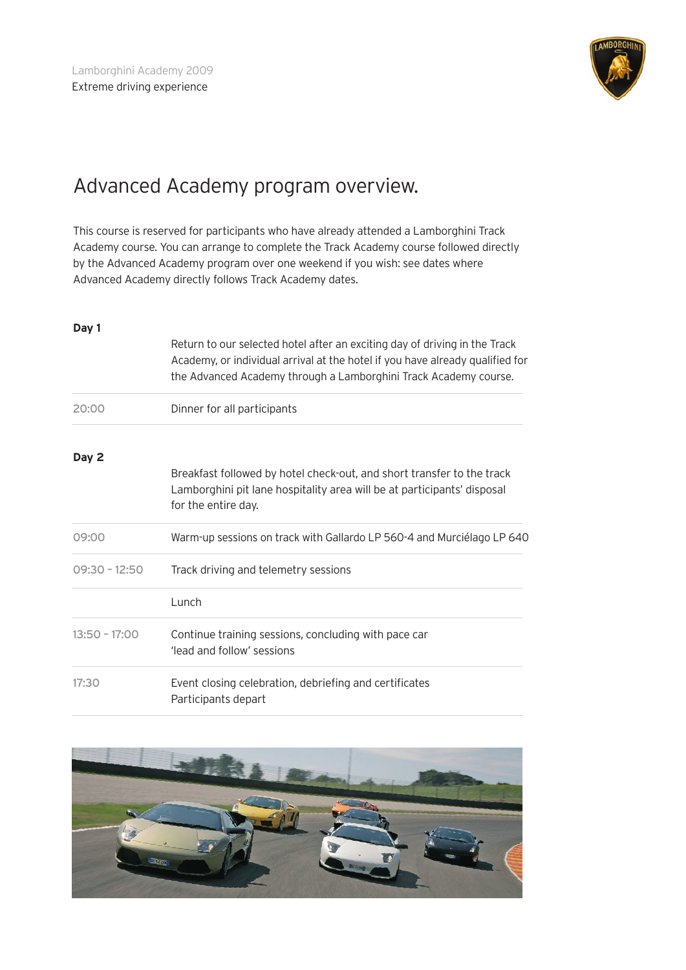

### Advanced Academy program overview.

This course is reserved for participants who have already attended a Lamborghini Track Academy course. You can arrange to complete the Track Academy course followed directly by the Advanced Academy program over one weekend if you wish: see dates where Advanced Academy directly follows Track Academy dates.

#### **Day 1**

|               | Return to our selected hotel after an exciting day of driving in the Track<br>Academy, or individual arrival at the hotel if you have already qualified for<br>the Advanced Academy through a Lamborghini Track Academy course. |
|---------------|---------------------------------------------------------------------------------------------------------------------------------------------------------------------------------------------------------------------------------|
| 20:00         | Dinner for all participants                                                                                                                                                                                                     |
| Day 2         | Breakfast followed by hotel check-out, and short transfer to the track<br>Lamborghini pit lane hospitality area will be at participants' disposal<br>for the entire day.                                                        |
| 09:00         | Warm-up sessions on track with Gallardo LP 560-4 and Murciélago LP 640                                                                                                                                                          |
| 09:30 - 12:50 | Track driving and telemetry sessions                                                                                                                                                                                            |
|               | Lunch                                                                                                                                                                                                                           |
| 13:50 - 17:00 | Continue training sessions, concluding with pace car<br>'lead and follow' sessions                                                                                                                                              |
| 17:30         | Event closing celebration, debriefing and certificates<br>Participants depart                                                                                                                                                   |

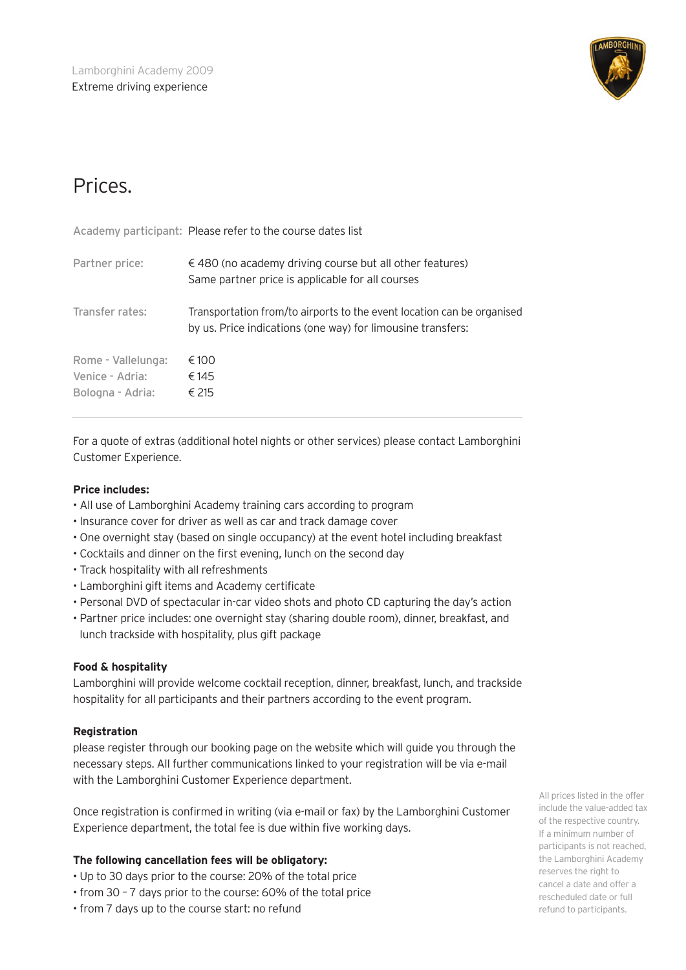

### Prices.

### Academy participant: Please refer to the course dates list

| Partner price:                                            | $\in$ 480 (no academy driving course but all other features)<br>Same partner price is applicable for all courses                      |
|-----------------------------------------------------------|---------------------------------------------------------------------------------------------------------------------------------------|
| Transfer rates:                                           | Transportation from/to airports to the event location can be organised<br>by us. Price indications (one way) for limousine transfers: |
| Rome - Vallelunga:<br>Venice - Adria:<br>Bologna - Adria: | € 100<br>€ 145<br>€ 215                                                                                                               |

For a quote of extras (additional hotel nights or other services) please contact Lamborghini Customer Experience.

#### **Price includes:**

- All use of Lamborghini Academy training cars according to program
- Insurance cover for driver as well as car and track damage cover
- One overnight stay (based on single occupancy) at the event hotel including breakfast
- Cocktails and dinner on the first evening, lunch on the second day
- Track hospitality with all refreshments
- Lamborghini gift items and Academy certificate
- Personal DVD of spectacular in-car video shots and photo CD capturing the day's action
- Partner price includes: one overnight stay (sharing double room), dinner, breakfast, and lunch trackside with hospitality, plus gift package

### **Food & hospitality**

Lamborghini will provide welcome cocktail reception, dinner, breakfast, lunch, and trackside hospitality for all participants and their partners according to the event program.

#### **Registration**

please register through our booking page on the website which will guide you through the necessary steps. All further communications linked to your registration will be via e-mail with the Lamborghini Customer Experience department.

Once registration is confirmed in writing (via e-mail or fax) by the Lamborghini Customer Experience department, the total fee is due within five working days.

### **The following cancellation fees will be obligatory:**

- Up to 30 days prior to the course: 20% of the total price
- from 30 7 days prior to the course: 60% of the total price
- from 7 days up to the course start: no refund

All prices listed in the offer include the value-added tax of the respective country. If a minimum number of participants is not reached, the Lamborghini Academy reserves the right to cancel a date and offer a rescheduled date or full refund to participants.